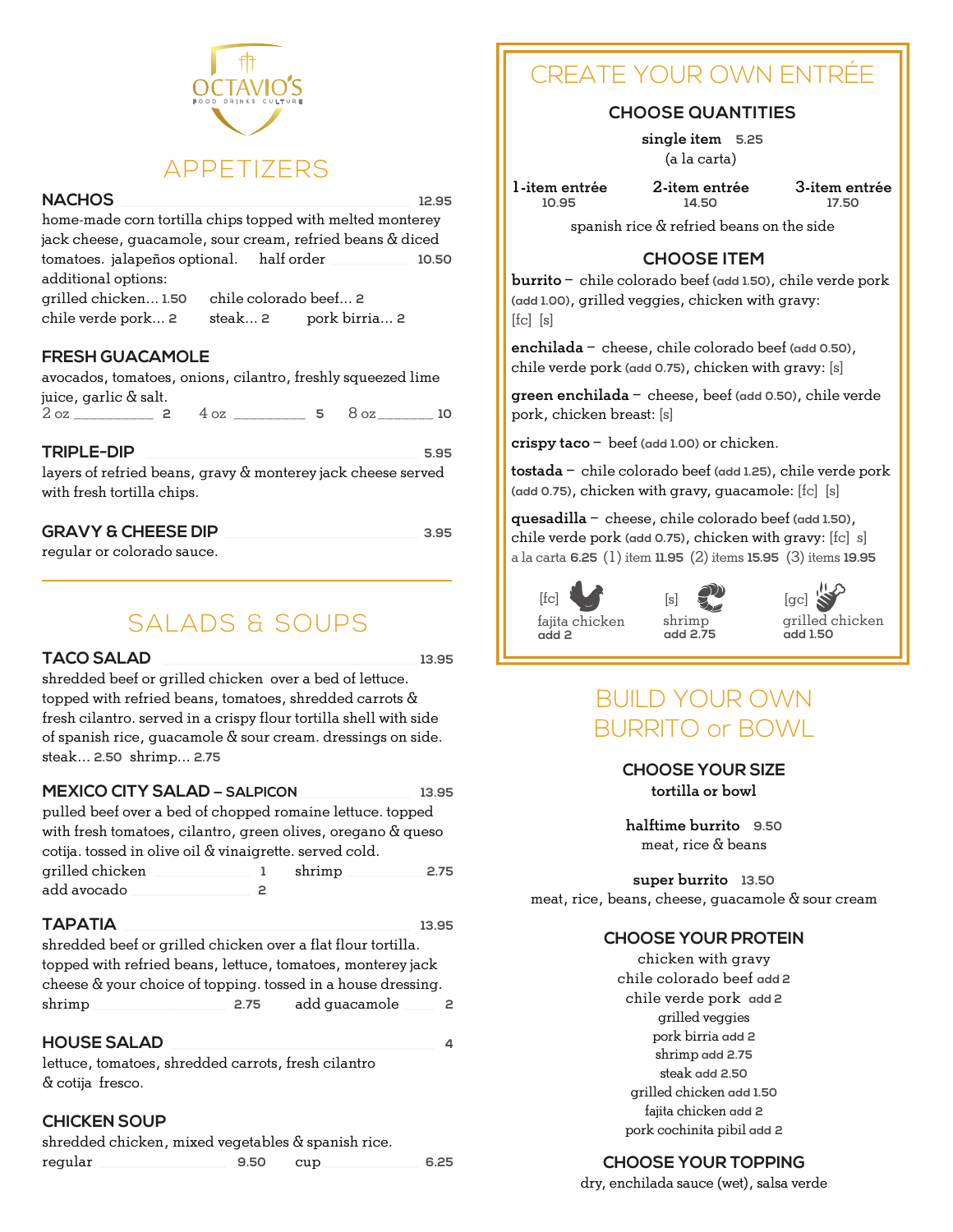

# **NACHOS** \_\_\_\_\_\_\_\_\_\_\_\_\_\_\_\_\_\_\_\_\_\_\_\_\_\_\_\_\_\_\_\_\_\_\_\_ **12.95**

home-made corn tortilla chips topped with melted monterey jack cheese, guacamole, sour cream, refried beans & diced tomatoes. jalapeños optional. half order \_\_\_\_\_\_\_\_\_\_ **10.50** additional options:

grilled chicken... **1.50** chile colorado beef... **2** chile verde pork... **2** steak... **2** pork birria... **2**

## **FRESH GUACAMOLE**

avocados, tomatoes, onions, cilantro, freshly squeezed lime juice, garlic & salt.

2 oz \_\_\_\_\_\_\_\_\_\_ **2** 4 oz \_\_\_\_\_\_\_\_\_ **5** 8 oz \_\_\_\_\_\_\_ **10**

#### **TRIPLE-DIP** \_\_\_\_\_\_\_\_\_\_\_\_\_\_\_\_\_\_\_\_\_\_\_\_\_\_\_\_\_\_\_\_\_\_ **5.95**

layers of refried beans, gravy & monterey jack cheese served with fresh tortilla chips.

| <b>GRAVY &amp; CHEESE DIP</b> |  |
|-------------------------------|--|
|                               |  |

regular or colorado sauce.

# SALADS & SOUPS

#### **TACO SALAD** \_\_\_\_\_\_\_\_\_\_\_\_\_\_\_\_\_\_\_\_\_\_\_\_\_\_\_\_\_\_\_\_ **13.95**

shredded beef or grilled chicken over a bed of lettuce. topped with refried beans, tomatoes, shredded carrots & fresh cilantro. served in a crispy flour tortilla shell with side of spanish rice, guacamole & sour cream. dressings on side. steak... **2.50** shrimp... **2.75**

#### **MEXICO CITY SALAD — SALPICON**\_\_\_\_\_\_\_\_\_\_\_\_\_\_ **13.95**

pulled beef over a bed of chopped romaine lettuce. topped with fresh tomatoes, cilantro, green olives, oregano & queso cotija. tossed in olive oil & vinaigrette. served cold. grilled chicken \_\_\_\_\_\_\_\_\_\_\_\_ **1** shrimp \_\_\_\_\_\_\_\_\_\_**2.75** add avocado \_\_\_\_\_\_\_\_\_\_\_\_\_\_\_ **2**

### **TAPATIA** \_\_\_\_\_\_\_\_\_\_\_\_\_\_\_\_\_\_\_\_\_\_\_\_\_\_\_\_\_\_\_\_\_\_\_\_ **13.95**

shredded beef or grilled chicken over a flat flour tortilla. topped with refried beans, lettuce, tomatoes, monterey jack cheese & your choice of topping. tossed in a house dressing. shrimp\_\_\_\_\_\_\_\_\_\_\_\_\_\_\_\_\_ **2.75** add guacamole \_\_\_\_ **2**

# **HOUSE SALAD** \_\_\_\_\_\_\_\_\_\_\_\_\_\_\_\_\_\_\_\_\_\_\_\_\_\_\_\_\_\_\_\_\_ **4**

lettuce, tomatoes, shredded carrots, fresh cilantro & cotija fresco.

## **CHICKEN SOUP**

| shredded chicken, mixed vegetables & spanish rice. |      |     |      |
|----------------------------------------------------|------|-----|------|
| regular                                            | 9.50 | cup | 6.25 |

# CREATE YOUR OWN ENTRÉE

# **CHOOSE QUANTITIES**

single item **5.25** (a la carta)

1-item entrée **10.95**

2-item entrée **14.50**

3-item entrée **17.50**

spanish rice & refried beans on the side

# **CHOOSE ITEM**

burrito – chile colorado beef **(add 1.50)**, chile verde pork **(add 1.00)**, grilled veggies, chicken with gravy: [fc] [s]

enchilada – cheese, chile colorado beef **(add 0.50)**, chile verde pork **(add 0.75)**, chicken with gravy: [s]

green enchilada – cheese, beef **(add 0.50)**, chile verde pork, chicken breast: [s]

crispy taco – beef **(add 1.00)** or chicken.

tostada – chile colorado beef **(add 1.25)**, chile verde pork **(add 0.75)**, chicken with gravy, guacamole: [fc] [s]

quesadilla – cheese, chile colorado beef **(add 1.50)**, chile verde pork **(add 0.75)**, chicken with gravy: [fc] s] a la carta **6.25** (1) item **11.95** (2) items **15.95** (3) items **19.95**



# BUILD YOUR OWN BURRITO or BOWL

**CHOOSE YOUR SIZE** tortilla or bowl

halftime burrito **9.50** meat, rice & beans

super burrito **13.50** meat, rice, beans, cheese, guacamole & sour cream

## **CHOOSE YOUR PROTEIN**

chicken with gravy chile colorado beef **add 2** chile verde pork **add 2** grilled veggies pork birria **add 2** shrimp **add 2.75** steak **add 2.50** grilled chicken **add 1.50** fajita chicken **add 2** pork cochinita pibil **add 2**

## **CHOOSE YOUR TOPPING**

dry, enchilada sauce (wet), salsa verde